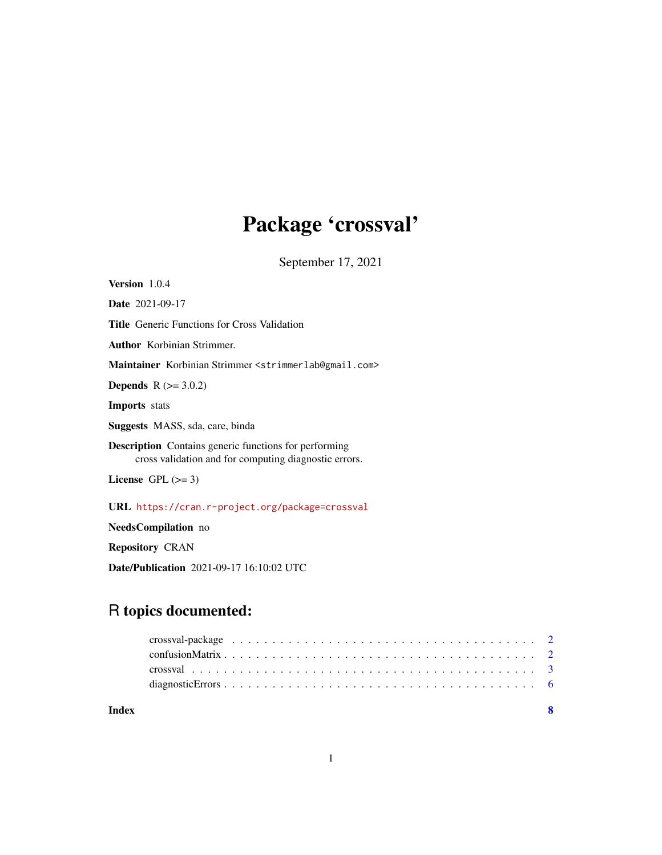## Package 'crossval'

September 17, 2021

Version 1.0.4 Date 2021-09-17 Title Generic Functions for Cross Validation Author Korbinian Strimmer. Maintainer Korbinian Strimmer <strimmerlab@gmail.com> **Depends**  $R$  ( $>= 3.0.2$ ) Imports stats Suggests MASS, sda, care, binda Description Contains generic functions for performing cross validation and for computing diagnostic errors. License GPL  $(>= 3)$ URL <https://cran.r-project.org/package=crossval> NeedsCompilation no

Repository CRAN

Date/Publication 2021-09-17 16:10:02 UTC

### R topics documented:

| Index |  |
|-------|--|
|       |  |
|       |  |
|       |  |
|       |  |

1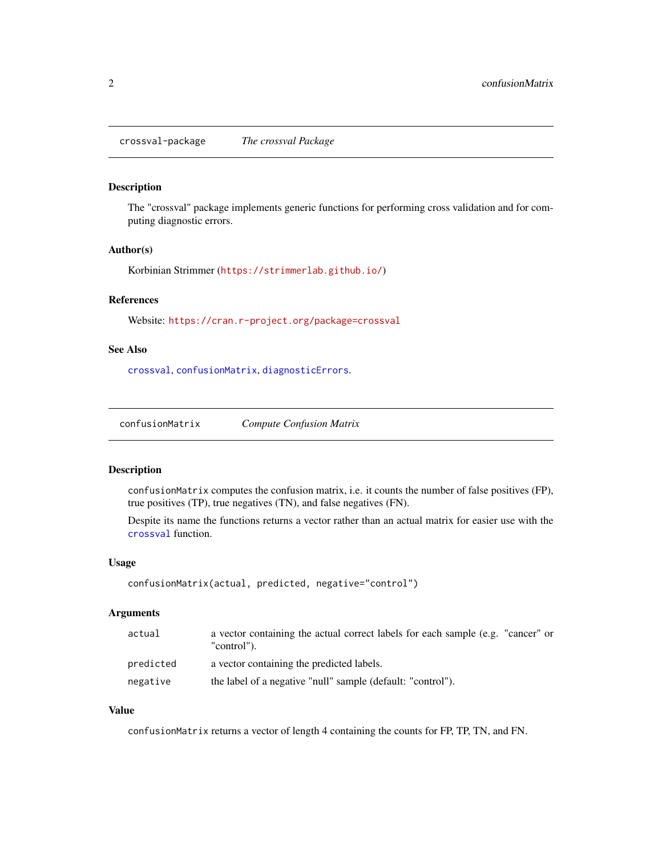<span id="page-1-0"></span>crossval-package *The crossval Package*

#### Description

The "crossval" package implements generic functions for performing cross validation and for computing diagnostic errors.

#### Author(s)

Korbinian Strimmer (<https://strimmerlab.github.io/>)

#### References

Website: <https://cran.r-project.org/package=crossval>

#### See Also

[crossval](#page-2-1), [confusionMatrix](#page-1-1), [diagnosticErrors](#page-5-1).

<span id="page-1-1"></span>confusionMatrix *Compute Confusion Matrix*

#### Description

confusionMatrix computes the confusion matrix, i.e. it counts the number of false positives (FP), true positives (TP), true negatives (TN), and false negatives (FN).

Despite its name the functions returns a vector rather than an actual matrix for easier use with the [crossval](#page-2-1) function.

#### Usage

```
confusionMatrix(actual, predicted, negative="control")
```
#### Arguments

| actual    | a vector containing the actual correct labels for each sample (e.g. "cancer" or<br>"control"). |
|-----------|------------------------------------------------------------------------------------------------|
| predicted | a vector containing the predicted labels.                                                      |
| negative  | the label of a negative "null" sample (default: "control").                                    |

#### Value

confusionMatrix returns a vector of length 4 containing the counts for FP, TP, TN, and FN.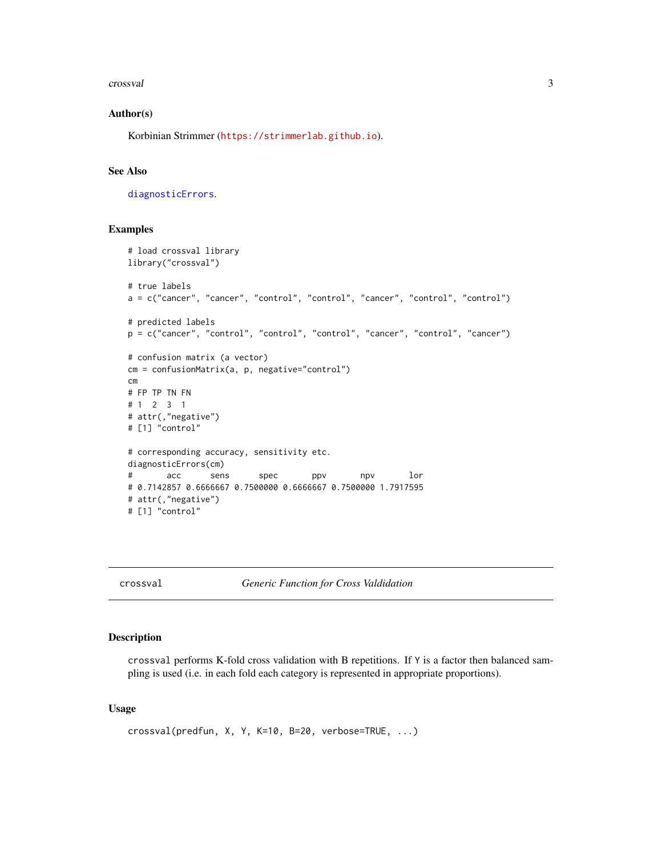#### <span id="page-2-0"></span>crossval 3

#### Author(s)

Korbinian Strimmer (<https://strimmerlab.github.io>).

#### See Also

[diagnosticErrors](#page-5-1).

#### Examples

```
# load crossval library
library("crossval")
# true labels
a = c("cancer", "cancer", "control", "control", "cancer", "control", "control")
# predicted labels
p = c("cancer", "control", "control", "control", "cancer", "control", "cancer")
# confusion matrix (a vector)
cm = confusionMatrix(a, p, negative="control")
cm
# FP TP TN FN
# 1 2 3 1
# attr(,"negative")
# [1] "control"
# corresponding accuracy, sensitivity etc.
diagnosticErrors(cm)
# acc sens spec ppv npv lor
# 0.7142857 0.6666667 0.7500000 0.6666667 0.7500000 1.7917595
# attr(,"negative")
# [1] "control"
```
<span id="page-2-1"></span>

crossval *Generic Function for Cross Valdidation*

#### Description

crossval performs K-fold cross validation with B repetitions. If Y is a factor then balanced sampling is used (i.e. in each fold each category is represented in appropriate proportions).

#### Usage

```
crossval(predfun, X, Y, K=10, B=20, verbose=TRUE, ...)
```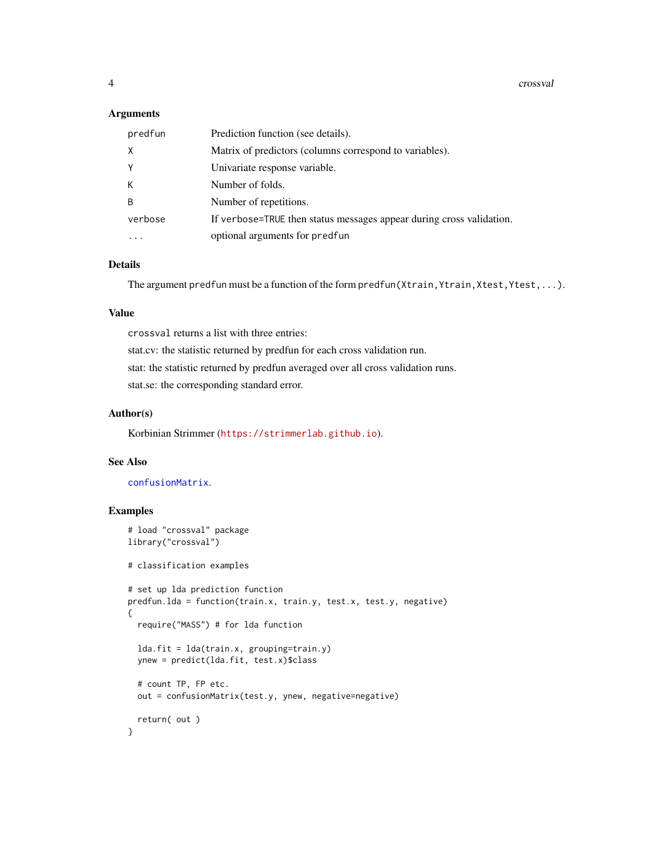#### <span id="page-3-0"></span>Arguments

| predfun  | Prediction function (see details).                                   |
|----------|----------------------------------------------------------------------|
| $\times$ | Matrix of predictors (columns correspond to variables).              |
| Y        | Univariate response variable.                                        |
| К        | Number of folds.                                                     |
| B        | Number of repetitions.                                               |
| verbose  | If verbose=TRUE then status messages appear during cross validation. |
|          | optional arguments for predfun                                       |

#### Details

The argument predfun must be a function of the form predfun(Xtrain, Ytrain, Xtest, Ytest, ...).

#### Value

crossval returns a list with three entries: stat.cv: the statistic returned by predfun for each cross validation run. stat: the statistic returned by predfun averaged over all cross validation runs. stat.se: the corresponding standard error.

#### Author(s)

Korbinian Strimmer (<https://strimmerlab.github.io>).

#### See Also

[confusionMatrix](#page-1-1).

#### Examples

```
# load "crossval" package
library("crossval")
# classification examples
# set up lda prediction function
predfun.lda = function(train.x, train.y, test.x, test.y, negative)
{
  require("MASS") # for lda function
  lda.fit = lda(train.x, grouping=train.y)
  ynew = predict(lda.fit, test.x)$class
  # count TP, FP etc.
  out = confusionMatrix(test.y, ynew, negative=negative)
  return( out )
}
```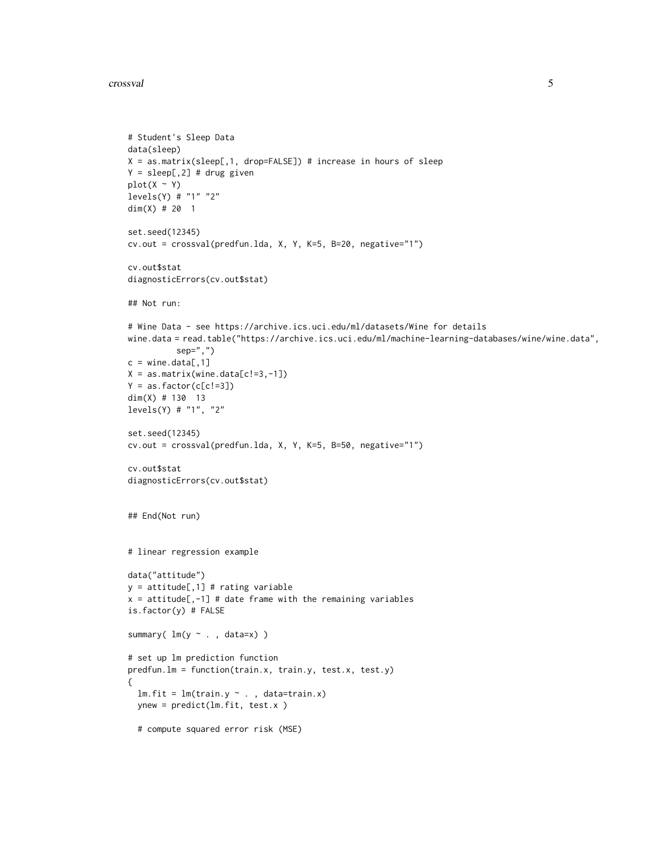#### crossval 5

```
# Student's Sleep Data
data(sleep)
X = as.matrix(sleep[,1, drop=FALSE]) # increase in hours of sleep
Y = \text{sleep}[, 2] # drug given
plot(X \sim Y)levels(Y) # "1" "2"
dim(X) # 20 1
set.seed(12345)
cv.out = crossval(predfun.lda, X, Y, K=5, B=20, negative="1")
cv.out$stat
diagnosticErrors(cv.out$stat)
## Not run:
# Wine Data - see https://archive.ics.uci.edu/ml/datasets/Wine for details
wine.data = read.table("https://archive.ics.uci.edu/ml/machine-learning-databases/wine/wine.data",
          sep=",")
c = wine.data[,1]
X = as_matrix(wine.data[c!=3,-1])Y = as.factor(c[c!=3])dim(X) # 130 13
levels(Y) # "1", "2"
set.seed(12345)
cv.out = crossval(predfun.lda, X, Y, K=5, B=50, negative="1")
cv.out$stat
diagnosticErrors(cv.out$stat)
## End(Not run)
# linear regression example
data("attitude")
y = attitude[,1] # rating variable
x = attitude[,-1] # date frame with the remaining variables
is.factor(y) # FALSE
summary( lm(y \sim . , data=x) )
# set up lm prediction function
predfun.lm = function(train.x, train.y, test.x, test.y)
{
  lm.fit = lm(train.y ~ . , data=train.x)ynew = predict(lm.fit, test.x )
  # compute squared error risk (MSE)
```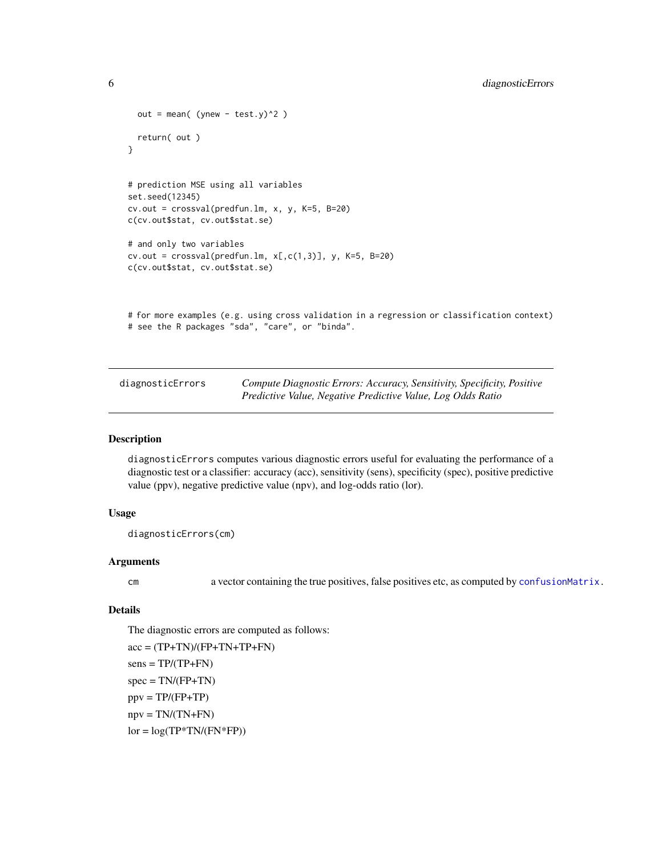```
out = mean( (ynew - test.y)^2 )
  return( out )
}
# prediction MSE using all variables
set.seed(12345)
cv.out = crossval(predfun.lm, x, y, K=5, B=20)
c(cv.out$stat, cv.out$stat.se)
# and only two variables
cv.out = crossval(predfun.lm, x[, c(1,3)], y, K=5, B=20)c(cv.out$stat, cv.out$stat.se)
# for more examples (e.g. using cross validation in a regression or classification context)
# see the R packages "sda", "care", or "binda".
```
<span id="page-5-1"></span>

| diagnosticErrors | Compute Diagnostic Errors: Accuracy, Sensitivity, Specificity, Positive |
|------------------|-------------------------------------------------------------------------|
|                  | Predictive Value, Negative Predictive Value, Log Odds Ratio             |

#### Description

diagnosticErrors computes various diagnostic errors useful for evaluating the performance of a diagnostic test or a classifier: accuracy (acc), sensitivity (sens), specificity (spec), positive predictive value (ppv), negative predictive value (npv), and log-odds ratio (lor).

#### Usage

```
diagnosticErrors(cm)
```
#### Arguments

cm a vector containing the true positives, false positives etc, as computed by [confusionMatrix.](#page-1-1)

#### Details

The diagnostic errors are computed as follows:  $acc = (TP+TN)/(FP+TN+TP+FN)$ 

 $sens = TP/(TP+FN)$  $spec = TN/(FP+TN)$  $ppv = TP/(FP+TP)$  $npv = TN/(TN+FN)$  $\text{lor} = \text{log}(\text{TP*TN}/(\text{FN*FP}))$ 

<span id="page-5-0"></span>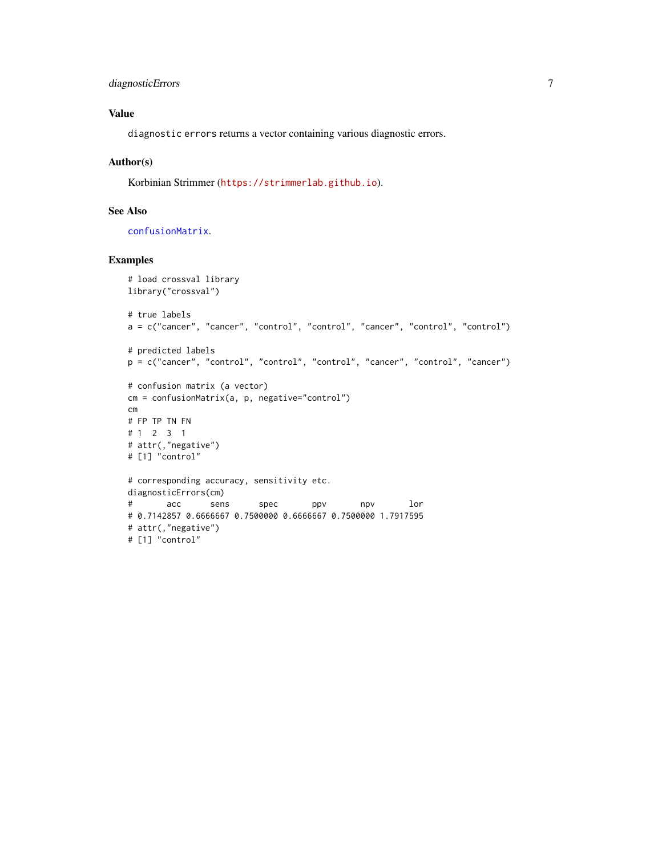#### <span id="page-6-0"></span>diagnosticErrors 7

#### Value

diagnostic errors returns a vector containing various diagnostic errors.

#### Author(s)

Korbinian Strimmer (<https://strimmerlab.github.io>).

#### See Also

[confusionMatrix](#page-1-1).

#### Examples

```
# load crossval library
library("crossval")
# true labels
a = c("cancer", "cancer", "control", "control", "cancer", "control", "control")
# predicted labels
p = c("cancer", "control", "control", "control", "cancer", "control", "cancer")
# confusion matrix (a vector)
cm = confusionMatrix(a, p, negative="control")
cm
# FP TP TN FN
# 1 2 3 1
# attr(,"negative")
# [1] "control"
# corresponding accuracy, sensitivity etc.
diagnosticErrors(cm)
# acc sens spec ppv npv lor
# 0.7142857 0.6666667 0.7500000 0.6666667 0.7500000 1.7917595
# attr(,"negative")
# [1] "control"
```